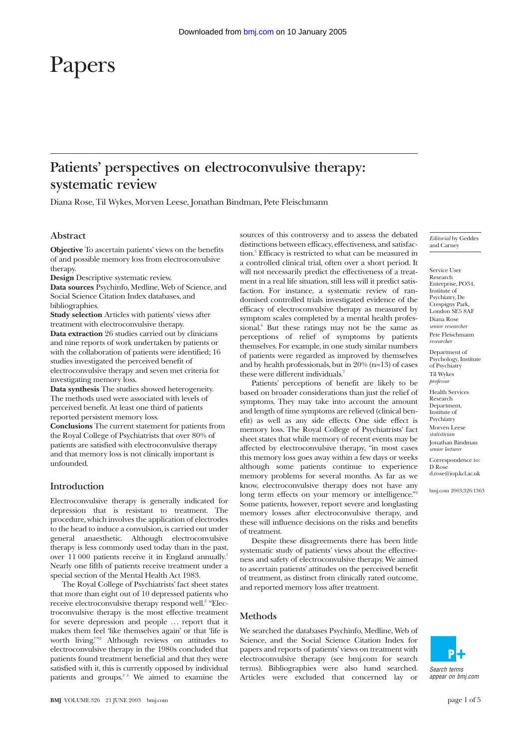# Papers

# **Patients' perspectives on electroconvulsive therapy: systematic review**

Diana Rose, Til Wykes, Morven Leese, Jonathan Bindman, Pete Fleischmann

# **Abstract**

**Objective** To ascertain patients' views on the benefits of and possible memory loss from electroconvulsive therapy.

**Design** Descriptive systematic review.

**Data sources** Psychinfo, Medline, Web of Science, and Social Science Citation Index databases, and bibliographies.

**Study selection** Articles with patients' views after treatment with electroconvulsive therapy.

**Data extraction** 26 studies carried out by clinicians and nine reports of work undertaken by patients or with the collaboration of patients were identified; 16 studies investigated the perceived benefit of electroconvulsive therapy and seven met criteria for investigating memory loss.

**Data synthesis** The studies showed heterogeneity. The methods used were associated with levels of perceived benefit. At least one third of patients reported persistent memory loss.

**Conclusions** The current statement for patients from the Royal College of Psychiatrists that over 80% of patients are satisfied with electroconvulsive therapy and that memory loss is not clinically important is unfounded.

## **Introduction**

Electroconvulsive therapy is generally indicated for depression that is resistant to treatment. The procedure, which involves the application of electrodes to the head to induce a convulsion, is carried out under general anaesthetic. Although electroconvulsive therapy is less commonly used today than in the past, over 11 000 patients receive it in England annually.<sup>1</sup> Nearly one fifth of patients receive treatment under a special section of the Mental Health Act 1983.

The Royal College of Psychiatrists' fact sheet states that more than eight out of 10 depressed patients who receive electroconvulsive therapy respond well.<sup>2</sup> "Electroconvulsive therapy is the most effective treatment for severe depression and people ... report that it makes them feel 'like themselves again' or that 'life is worth living.'"2 Although reviews on attitudes to electroconvulsive therapy in the 1980s concluded that patients found treatment beneficial and that they were satisfied with it, this is currently opposed by individual patients and groups. $34$  We aimed to examine the sources of this controversy and to assess the debated distinctions between efficacy, effectiveness, and satisfaction.<sup>5</sup> Efficacy is restricted to what can be measured in a controlled clinical trial, often over a short period. It will not necessarily predict the effectiveness of a treatment in a real life situation, still less will it predict satisfaction. For instance, a systematic review of randomised controlled trials investigated evidence of the efficacy of electroconvulsive therapy as measured by symptom scales completed by a mental health professional.<sup>6</sup> But these ratings may not be the same as perceptions of relief of symptoms by patients themselves. For example, in one study similar numbers of patients were regarded as improved by themselves and by health professionals, but in 20% (n=13) of cases these were different individuals.<sup>7</sup>

Patients' perceptions of benefit are likely to be based on broader considerations than just the relief of symptoms. They may take into account the amount and length of time symptoms are relieved (clinical benefit) as well as any side effects. One side effect is memory loss. The Royal College of Psychiatrists' fact sheet states that while memory of recent events may be affected by electroconvulsive therapy, "in most cases this memory loss goes away within a few days or weeks although some patients continue to experience memory problems for several months. As far as we know, electroconvulsive therapy does not have any long term effects on your memory or intelligence." Some patients, however, report severe and longlasting memory losses after electroconvulsive therapy, and these will influence decisions on the risks and benefits of treatment.

Despite these disagreements there has been little systematic study of patients' views about the effectiveness and safety of electroconvulsive therapy. We aimed to ascertain patients' attitudes on the perceived benefit of treatment, as distinct from clinically rated outcome, and reported memory loss after treatment.

## **Methods**

We searched the databases Psychinfo, Medline, Web of Science, and the Social Science Citation Index for papers and reports of patients' views on treatment with electroconvulsive therapy (see bmj.com for search terms). Bibliographies were also hand searched. Articles were excluded that concerned lay or

*Editorial* by Geddes and Carney

Service User Research Enterprise, PO34, Institute of Psychiatry, De Crespigny Park, London  $SFA$ Diana Rose *senior researcher* Pete Fleischmann *researcher* Department of Psychology, Institute of Psychiatry Til Wykes *professor* Health Services Research Department, Institute of **Psychiatry** Morven Leese

*statistician* Jonathan Bindman *senior lecturer*

Correspondence to: D Rose

d.rose@iop.kcl.ac.uk

bmj.com 2003;326:1363

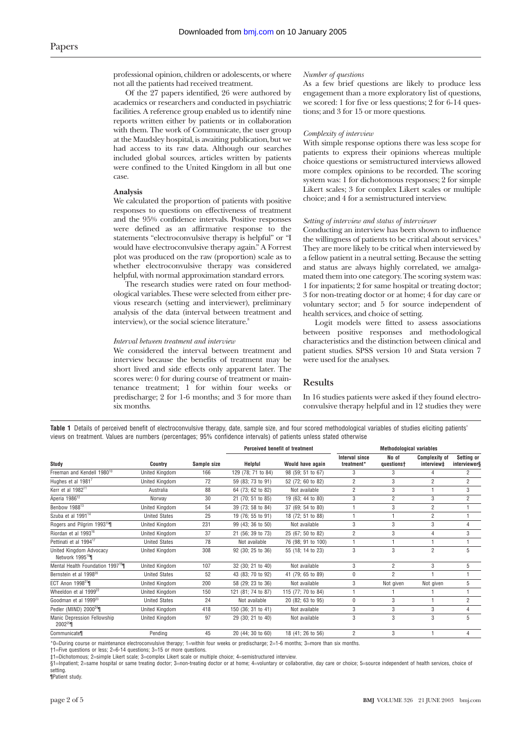professional opinion, children or adolescents, or where not all the patients had received treatment.

Of the 27 papers identified, 26 were authored by academics or researchers and conducted in psychiatric facilities. A reference group enabled us to identify nine reports written either by patients or in collaboration with them. The work of Communicate, the user group at the Maudsley hospital, is awaiting publication, but we had access to its raw data. Although our searches included global sources, articles written by patients were confined to the United Kingdom in all but one case.

## **Analysis**

We calculated the proportion of patients with positive responses to questions on effectiveness of treatment and the 95% confidence intervals. Positive responses were defined as an affirmative response to the statements "electroconvulsive therapy is helpful" or "I would have electroconvulsive therapy again." A Forrest plot was produced on the raw (proportion) scale as to whether electroconvulsive therapy was considered helpful, with normal approximation standard errors.

The research studies were rated on four methodological variables. These were selected from either previous research (setting and interviewer), preliminary analysis of the data (interval between treatment and interview), or the social science literature.<sup>8</sup>

#### *Interval between treatment and interview*

We considered the interval between treatment and interview because the benefits of treatment may be short lived and side effects only apparent later. The scores were: 0 for during course of treatment or maintenance treatment; 1 for within four weeks or predischarge; 2 for 1-6 months; and 3 for more than six months.

#### *Number of questions*

As a few brief questions are likely to produce less engagement than a more exploratory list of questions, we scored: 1 for five or less questions; 2 for 6-14 questions; and 3 for 15 or more questions.

#### *Complexity of interview*

With simple response options there was less scope for patients to express their opinions whereas multiple choice questions or semistructured interviews allowed more complex opinions to be recorded. The scoring system was: 1 for dichotomous responses; 2 for simple Likert scales; 3 for complex Likert scales or multiple choice; and 4 for a semistructured interview.

#### *Setting of interview and status of interviewer*

Conducting an interview has been shown to influence the willingness of patients to be critical about services.<sup>9</sup> They are more likely to be critical when interviewed by a fellow patient in a neutral setting. Because the setting and status are always highly correlated, we amalgamated them into one category. The scoring system was: 1 for inpatients; 2 for same hospital or treating doctor; 3 for non-treating doctor or at home; 4 for day care or voluntary sector; and 5 for source independent of health services, and choice of setting.

Logit models were fitted to assess associations between positive responses and methodological characteristics and the distinction between clinical and patient studies. SPSS version 10 and Stata version 7 were used for the analyses.

# **Results**

In 16 studies patients were asked if they found electroconvulsive therapy helpful and in 12 studies they were

**Table 1** Details of perceived benefit of electroconvulsive therapy, date, sample size, and four scored methodological variables of studies eliciting patients' views on treatment. Values are numbers (percentages; 95% confidence intervals) of patients unless stated otherwise

|                                                       |                       |             | Perceived benefit of treatment |                    | <b>Methodological variables</b>     |                     |                                    |                            |
|-------------------------------------------------------|-----------------------|-------------|--------------------------------|--------------------|-------------------------------------|---------------------|------------------------------------|----------------------------|
| Study                                                 | <b>Country</b>        | Sample size | Helpful                        | Would have again   | <b>Interval since</b><br>treatment* | No of<br>questionst | <b>Complexity of</b><br>interview‡ | Setting or<br>interviewer§ |
| Freeman and Kendell 1980 <sup>10</sup>                | United Kingdom        | 166         | 129 (78; 71 to 84)             | 98 (59; 51 to 67)  | 3                                   | 3                   |                                    | 2                          |
| Hughes et al 1981 <sup>7</sup>                        | United Kingdom        | 72          | 59 (83; 73 to 91)              | 52 (72; 60 to 82)  | $\overline{2}$                      | 3                   | $\overline{2}$                     | $\overline{2}$             |
| Kerr et al 1982 <sup>11</sup>                         | Australia             | 88          | 64 (73; 62 to 82)              | Not available      | $\overline{2}$                      | 3                   |                                    | 3                          |
| Aperia 1986 <sup>12</sup>                             | Norway                | 30          | 21 (70; 51 to 85)              | 19 (63; 44 to 80)  | 3                                   | $\overline{2}$      | 3                                  | $\overline{2}$             |
| Benbow 1988 <sup>13</sup>                             | United Kingdom        | 54          | 39 (73; 58 to 84)              | 37 (69; 54 to 80)  |                                     | 3                   | $\overline{2}$                     |                            |
| Szuba et al 1991 <sup>14</sup>                        | <b>United States</b>  | 25          | 19 (76; 55 to 91)              | 18 (72; 51 to 88)  |                                     |                     | $\overline{2}$                     |                            |
| Rogers and Pilgrim 1993 <sup>15</sup>                 | United Kingdom        | 231         | 99 (43; 36 to 50)              | Not available      | 3                                   | 3                   | 3                                  | 4                          |
| Riordan et al 1993 <sup>16</sup>                      | United Kingdom        | 37          | 21 (56; 39 to 73)              | 25 (67; 50 to 82)  | $\overline{2}$                      | 3                   | 4                                  | 3                          |
| Pettinati et al 1994 <sup>17</sup>                    | <b>United States</b>  | 78          | Not available                  | 76 (98; 91 to 100) |                                     |                     |                                    |                            |
| United Kingdom Advocacy<br>Network 1995 <sup>18</sup> | <b>United Kingdom</b> | 308         | 92 (30; 25 to 36)              | 55 (18; 14 to 23)  | 3                                   | 3                   | $\overline{2}$                     | 5                          |
| Mental Health Foundation 1997 <sup>19</sup>           | United Kingdom        | 107         | 32 (30; 21 to 40)              | Not available      | 3                                   | $\overline{2}$      | 3                                  | 5                          |
| Bernstein et al 1998 <sup>20</sup>                    | <b>United States</b>  | 52          | 43 (83; 70 to 92)              | 41 (79; 65 to 89)  | $\mathbf{0}$                        | $\overline{2}$      |                                    |                            |
| ECT Anon 1998 <sup>21</sup>                           | United Kingdom        | 200         | 58 (29; 23 to 36)              | Not available      | 3                                   | Not given           | Not given                          | 5                          |
| Wheeldon et al 1999 <sup>22</sup>                     | United Kingdom        | 150         | 121 (81; 74 to 87)             | 115 (77; 70 to 84) |                                     |                     |                                    |                            |
| Goodman et al 1999 <sup>23</sup>                      | <b>United States</b>  | 24          | Not available                  | 20 (82; 63 to 95)  | $\theta$                            | 3                   |                                    | $\overline{2}$             |
| Pedler (MIND) $2000^{24}$                             | United Kingdom        | 418         | 150 (36; 31 to 41)             | Not available      | 3                                   | 3                   | 3                                  | 4                          |
| Manic Depression Fellowship<br>$2002^{25}$            | United Kingdom        | 97          | 29 (30; 21 to 40)              | Not available      | 3                                   | 3                   | 3                                  | 5                          |
| Communicate                                           | Pending               | 45          | 20 (44; 30 to 60)              | 18 (41; 26 to 56)  | $\overline{2}$                      | 3                   |                                    |                            |

\*0=During course or maintenance electroconvulsive therapy; 1=within four weeks or predischarge; 2=1-6 months; 3=more than six months.

†1=Five questions or less; 2=6-14 questions; 3=15 or more questions.

‡1=Dichotomous; 2=simple Likert scale; 3=complex Likert scale or multiple choice; 4=semistructured interview.

§1=Inpatient; 2=same hospital or same treating doctor; 3=non-treating doctor or at home; 4=voluntary or collaborative, day care or choice; 5=source independent of health services, choice of setting.

¶Patient study.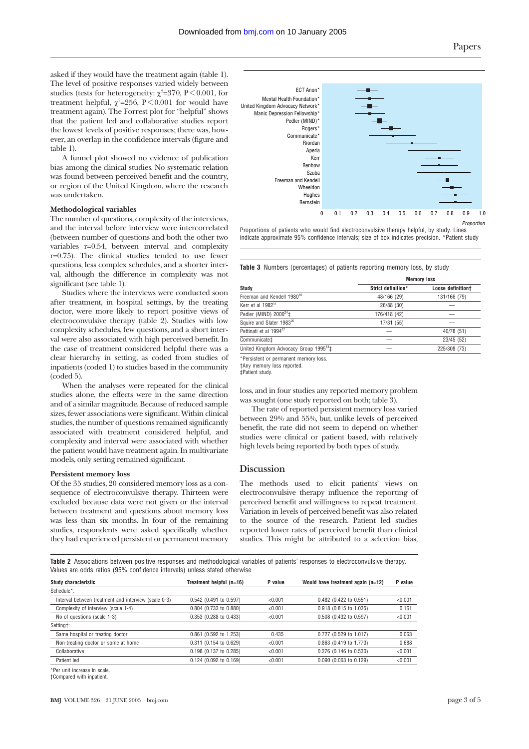asked if they would have the treatment again (table 1). The level of positive responses varied widely between studies (tests for heterogeneity:  $\chi^2$ =370, P < 0.001, for treatment helpful,  $\chi^2$ =256, P < 0.001 for would have treatment again). The Forrest plot for "helpful" shows that the patient led and collaborative studies report the lowest levels of positive responses; there was, however, an overlap in the confidence intervals (figure and table 1).

A funnel plot showed no evidence of publication bias among the clinical studies. No systematic relation was found between perceived benefit and the country, or region of the United Kingdom, where the research was undertaken.

# **Methodological variables**

The number of questions, complexity of the interviews, and the interval before interview were intercorrelated (between number of questions and both the other two variables r=0.54, between interval and complexity r=0.75). The clinical studies tended to use fewer questions, less complex schedules, and a shorter interval, although the difference in complexity was not significant (see table 1).

Studies where the interviews were conducted soon after treatment, in hospital settings, by the treating doctor, were more likely to report positive views of electroconvulsive therapy (table 2). Studies with low complexity schedules, few questions, and a short interval were also associated with high perceived benefit. In the case of treatment considered helpful there was a clear hierarchy in setting, as coded from studies of inpatients (coded 1) to studies based in the community (coded 5).

When the analyses were repeated for the clinical studies alone, the effects were in the same direction and of a similar magnitude. Because of reduced sample sizes, fewer associations were significant. Within clinical studies, the number of questions remained significantly associated with treatment considered helpful, and complexity and interval were associated with whether the patient would have treatment again. In multivariate models, only setting remained significant.

# **Persistent memory loss**

Of the 35 studies, 20 considered memory loss as a consequence of electroconvulsive therapy. Thirteen were excluded because data were not given or the interval between treatment and questions about memory loss was less than six months. In four of the remaining studies, respondents were asked specifically whether they had experienced persistent or permanent memory



Proportions of patients who would find electroconvulsive therapy helpful, by study. Lines indicate approximate 95% confidence intervals; size of box indicates precision. \*Patient study

**Table 3** Numbers (percentages) of patients reporting memory loss, by study

|                                                    | <b>Memory loss</b> |                   |  |  |  |
|----------------------------------------------------|--------------------|-------------------|--|--|--|
| Study                                              | Strict definition* | Loose definitiont |  |  |  |
| Freeman and Kendell 1980 <sup>10</sup>             | 48/166 (29)        | 131/166 (79)      |  |  |  |
| Kerr et al 1982 <sup>11</sup>                      | 26/88 (30)         |                   |  |  |  |
| Pedler (MIND) $2000^{24}$ ‡                        | 176/418 (42)       |                   |  |  |  |
| Squire and Slater 1983 <sup>26</sup>               | 17/31 (55)         |                   |  |  |  |
| Pettinati et al 1994 <sup>17</sup>                 |                    | 40/78 (51)        |  |  |  |
| Communicate‡                                       |                    | 23/45 (52)        |  |  |  |
| United Kingdom Advocacy Group 1995 <sup>18</sup> ‡ |                    | 225/308 (73)      |  |  |  |
|                                                    |                    |                   |  |  |  |

\*Persistent or permanent memory loss.

†Any memory loss reported. ‡Patient study.

loss, and in four studies any reported memory problem was sought (one study reported on both; table 3).

The rate of reported persistent memory loss varied between 29% and 55%, but, unlike levels of perceived benefit, the rate did not seem to depend on whether studies were clinical or patient based, with relatively high levels being reported by both types of study.

# **Discussion**

The methods used to elicit patients' views on electroconvulsive therapy influence the reporting of perceived benefit and willingness to repeat treatment. Variation in levels of perceived benefit was also related to the source of the research. Patient led studies reported lower rates of perceived benefit than clinical studies. This might be attributed to a selection bias,

**Table 2** Associations between positive responses and methodological variables of patients' responses to electroconvulsive therapy. Values are odds ratios (95% confidence intervals) unless stated otherwise

| Study characteristic                                 | Treatment helpful (n=16) | P value | Would have treatment again $(n=12)$ | P value |  |
|------------------------------------------------------|--------------------------|---------|-------------------------------------|---------|--|
| Schedule*:                                           |                          |         |                                     |         |  |
| Interval between treatment and interview (scale 0-3) | 0.542 (0.491 to 0.597)   | < 0.001 | 0.482 (0.422 to 0.551)              | < 0.001 |  |
| Complexity of interview (scale 1-4)                  | 0.804 (0.733 to 0.880)   | < 0.001 | 0.918 (0.815 to 1.035)              | 0.161   |  |
| No of questions (scale 1-3)                          | 0.353 (0.288 to 0.433)   | < 0.001 | 0.508 (0.432 to 0.597)              | < 0.001 |  |
| Setting†:                                            |                          |         |                                     |         |  |
| Same hospital or treating doctor                     | 0.861 (0.592 to 1.253)   | 0.435   | 0.727 (0.529 to 1.017)              | 0.063   |  |
| Non-treating doctor or some at home                  | 0.311 (0.154 to 0.629)   | < 0.001 | 0.863 (0.419 to 1.773)              | 0.688   |  |
| Collaborative                                        | 0.198 (0.137 to 0.285)   | < 0.001 | 0.276 (0.146 to 0.530)              | < 0.001 |  |
| Patient led                                          | 0.124 (0.092 to 0.169)   | < 0.001 | 0.090 (0.063 to 0.129)              | < 0.001 |  |
|                                                      |                          |         |                                     |         |  |

\*Per unit increase in scale.

†Compared with inpatient.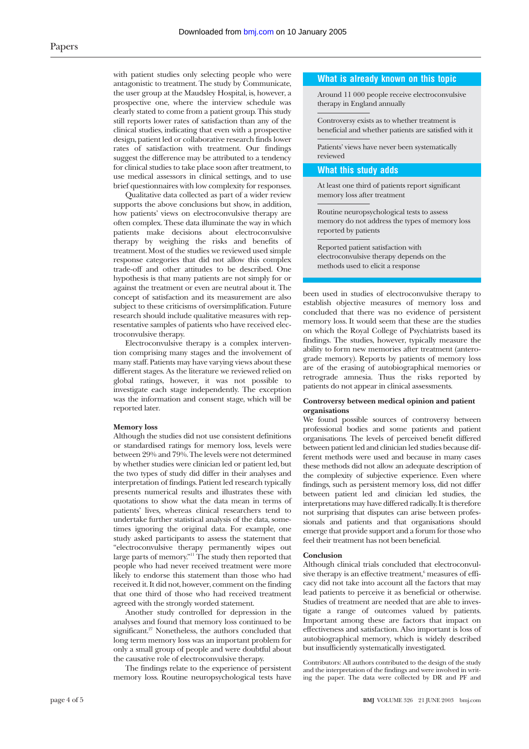with patient studies only selecting people who were antagonistic to treatment. The study by Communicate, the user group at the Maudsley Hospital, is, however, a prospective one, where the interview schedule was clearly stated to come from a patient group. This study still reports lower rates of satisfaction than any of the clinical studies, indicating that even with a prospective design, patient led or collaborative research finds lower rates of satisfaction with treatment. Our findings suggest the difference may be attributed to a tendency for clinical studies to take place soon after treatment, to use medical assessors in clinical settings, and to use brief questionnaires with low complexity for responses.

Qualitative data collected as part of a wider review supports the above conclusions but show, in addition, how patients' views on electroconvulsive therapy are often complex. These data illuminate the way in which patients make decisions about electroconvulsive therapy by weighing the risks and benefits of treatment. Most of the studies we reviewed used simple response categories that did not allow this complex trade-off and other attitudes to be described. One hypothesis is that many patients are not simply for or against the treatment or even are neutral about it. The concept of satisfaction and its measurement are also subject to these criticisms of oversimplification. Future research should include qualitative measures with representative samples of patients who have received electroconvulsive therapy.

Electroconvulsive therapy is a complex intervention comprising many stages and the involvement of many staff. Patients may have varying views about these different stages. As the literature we reviewed relied on global ratings, however, it was not possible to investigate each stage independently. The exception was the information and consent stage, which will be reported later.

#### **Memory loss**

Although the studies did not use consistent definitions or standardised ratings for memory loss, levels were between 29% and 79%. The levels were not determined by whether studies were clinician led or patient led, but the two types of study did differ in their analyses and interpretation of findings. Patient led research typically presents numerical results and illustrates these with quotations to show what the data mean in terms of patients' lives, whereas clinical researchers tend to undertake further statistical analysis of the data, sometimes ignoring the original data. For example, one study asked participants to assess the statement that "electroconvulsive therapy permanently wipes out large parts of memory."11 The study then reported that people who had never received treatment were more likely to endorse this statement than those who had received it. It did not, however, comment on the finding that one third of those who had received treatment agreed with the strongly worded statement.

Another study controlled for depression in the analyses and found that memory loss continued to be significant.<sup>27</sup> Nonetheless, the authors concluded that long term memory loss was an important problem for only a small group of people and were doubtful about the causative role of electroconvulsive therapy.

The findings relate to the experience of persistent memory loss. Routine neuropsychological tests have

#### **What is already known on this topic**

Around 11 000 people receive electroconvulsive therapy in England annually

Controversy exists as to whether treatment is beneficial and whether patients are satisfied with it

Patients' views have never been systematically reviewed

# **What this study adds**

At least one third of patients report significant memory loss after treatment

Routine neuropsychological tests to assess memory do not address the types of memory loss reported by patients

Reported patient satisfaction with electroconvulsive therapy depends on the methods used to elicit a response

been used in studies of electroconvulsive therapy to establish objective measures of memory loss and concluded that there was no evidence of persistent memory loss. It would seem that these are the studies on which the Royal College of Psychiatrists based its findings. The studies, however, typically measure the ability to form new memories after treatment (anterograde memory). Reports by patients of memory loss are of the erasing of autobiographical memories or retrograde amnesia. Thus the risks reported by patients do not appear in clinical assessments.

#### **Controversy between medical opinion and patient organisations**

We found possible sources of controversy between professional bodies and some patients and patient organisations. The levels of perceived benefit differed between patient led and clinician led studies because different methods were used and because in many cases these methods did not allow an adequate description of the complexity of subjective experience. Even where findings, such as persistent memory loss, did not differ between patient led and clinician led studies, the interpretations may have differed radically. It is therefore not surprising that disputes can arise between professionals and patients and that organisations should emerge that provide support and a forum for those who feel their treatment has not been beneficial.

#### **Conclusion**

Although clinical trials concluded that electroconvulsive therapy is an effective treatment,<sup>6</sup> measures of efficacy did not take into account all the factors that may lead patients to perceive it as beneficial or otherwise. Studies of treatment are needed that are able to investigate a range of outcomes valued by patients. Important among these are factors that impact on effectiveness and satisfaction. Also important is loss of autobiographical memory, which is widely described but insufficiently systematically investigated.

Contributors: All authors contributed to the design of the study and the interpretation of the findings and were involved in writing the paper. The data were collected by DR and PF and